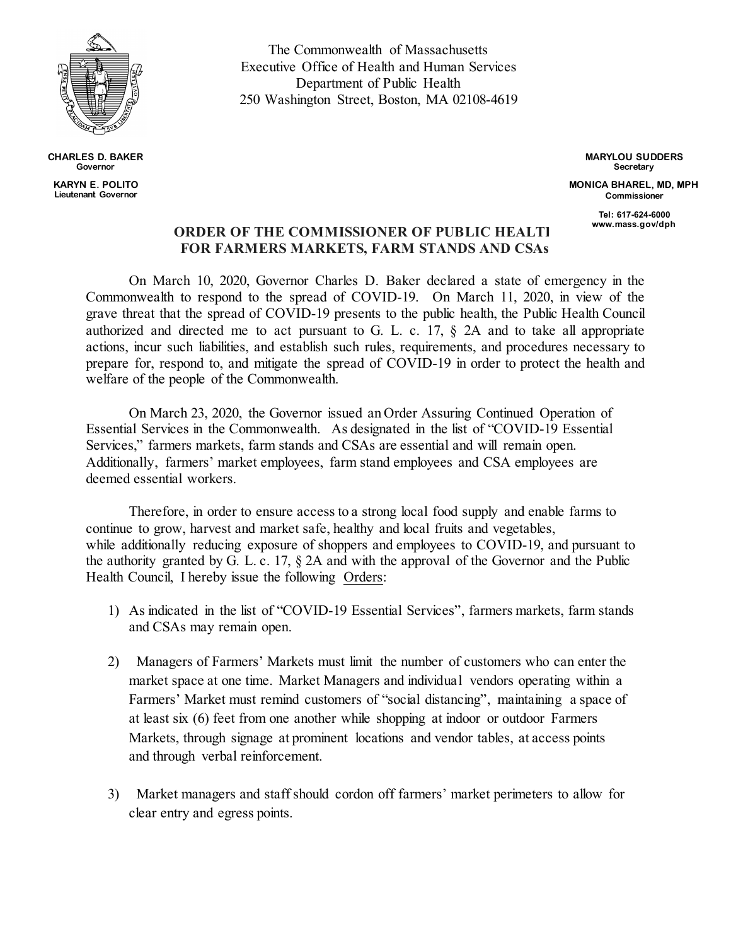

**CHARLES D. BAKER Governor KARYN E. POLITO Lieutenant Governor**

The Commonwealth of Massachusetts Executive Office of Health and Human Services Department of Public Health 250 Washington Street, Boston, MA 02108-4619

> **MARYLOU SUDDERS Secretary MONICA BHAREL, MD, MPH Commissioner**

> > **Tel: 617-624-6000 www.mass.gov/dph**

## **ORDER OF THE COMMISSIONER OF PUBLIC HEALTH FOR FARMERS MARKETS, FARM STANDS AND CSAs**

On March 10, 2020, Governor Charles D. Baker declared a state of emergency in the Commonwealth to respond to the spread of COVID-19. On March 11, 2020, in view of the grave threat that the spread of COVID-19 presents to the public health, the Public Health Council authorized and directed me to act pursuant to G. L. c. 17, § 2A and to take all appropriate actions, incur such liabilities, and establish such rules, requirements, and procedures necessary to prepare for, respond to, and mitigate the spread of COVID-19 in order to protect the health and welfare of the people of the Commonwealth.

On March 23, 2020, the Governor issued an Order Assuring Continued Operation of Essential Services in the Commonwealth. As designated in the list of "COVID-19 Essential Services," farmers markets, farm stands and CSAs are essential and will remain open. Additionally, farmers' market employees, farm stand employees and CSA employees are deemed essential workers.

Therefore, in order to ensure access to a strong local food supply and enable farms to continue to grow, harvest and market safe, healthy and local fruits and vegetables, while additionally reducing exposure of shoppers and employees to COVID-19, and pursuant to the authority granted by G. L. c. 17, § 2A and with the approval of the Governor and the Public Health Council, I hereby issue the following Orders:

- 1) As indicated in the list of "COVID-19 Essential Services", farmers markets, farm stands and CSAs may remain open.
- 2) Managers of Farmers' Markets must limit the number of customers who can enter the market space at one time. Market Managers and individual vendors operating within a Farmers' Market must remind customers of "social distancing", maintaining a space of at least six (6) feet from one another while shopping at indoor or outdoor Farmers Markets, through signage at prominent locations and vendor tables, at access points and through verbal reinforcement.
- 3) Market managers and staff should cordon off farmers' market perimeters to allow for clear entry and egress points.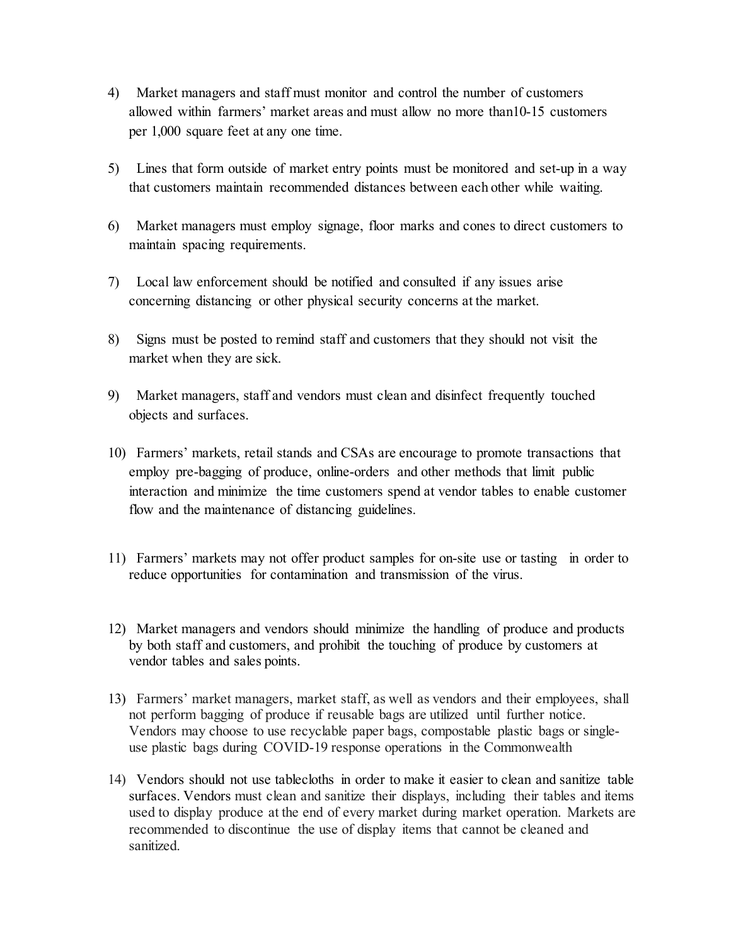- 4) Market managers and staff must monitor and control the number of customers allowed within farmers' market areas and must allow no more than10-15 customers per 1,000 square feet at any one time.
- 5) Lines that form outside of market entry points must be monitored and set-up in a way that customers maintain recommended distances between each other while waiting.
- 6) Market managers must employ signage, floor marks and cones to direct customers to maintain spacing requirements.
- 7) Local law enforcement should be notified and consulted if any issues arise concerning distancing or other physical security concerns at the market.
- 8) Signs must be posted to remind staff and customers that they should not visit the market when they are sick.
- 9) Market managers, staff and vendors must clean and disinfect frequently touched objects and surfaces.
- 10) Farmers' markets, retail stands and CSAs are encourage to promote transactions that employ pre-bagging of produce, online-orders and other methods that limit public interaction and minimize the time customers spend at vendor tables to enable customer flow and the maintenance of distancing guidelines.
- 11) Farmers' markets may not offer product samples for on-site use or tasting in order to reduce opportunities for contamination and transmission of the virus.
- 12) Market managers and vendors should minimize the handling of produce and products by both staff and customers, and prohibit the touching of produce by customers at vendor tables and sales points.
- 13) Farmers' market managers, market staff, as well as vendors and their employees, shall not perform bagging of produce if reusable bags are utilized until further notice. Vendors may choose to use recyclable paper bags, compostable plastic bags or singleuse plastic bags during COVID-19 response operations in the Commonwealth
- 14) Vendors should not use tablecloths in order to make it easier to clean and sanitize table surfaces. Vendors must clean and sanitize their displays, including their tables and items used to display produce at the end of every market during market operation. Markets are recommended to discontinue the use of display items that cannot be cleaned and sanitized.